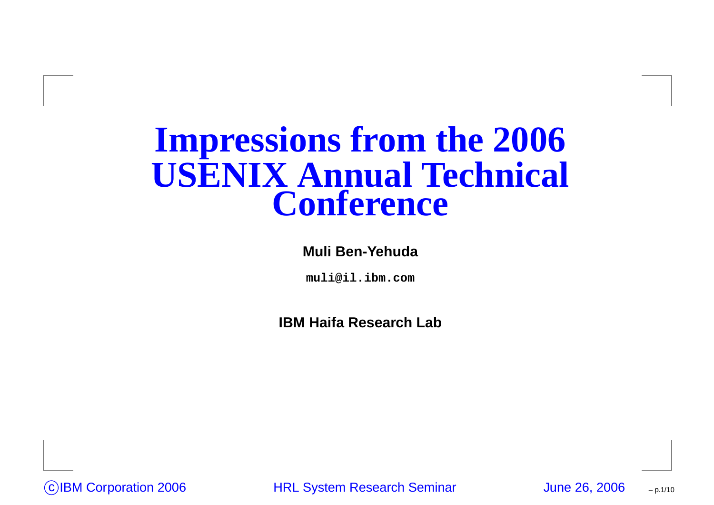#### **Impressions from the 2006 USENIX Annual Technical Conference**

#### **Muli Ben-Yehuda**

**muli@il.ibm.com**

**IBM Haifa Research Lab**

<sup>c</sup> IBM Corporation <sup>2006</sup> HRL System Research Seminar June 26, <sup>2006</sup>

– p.1/10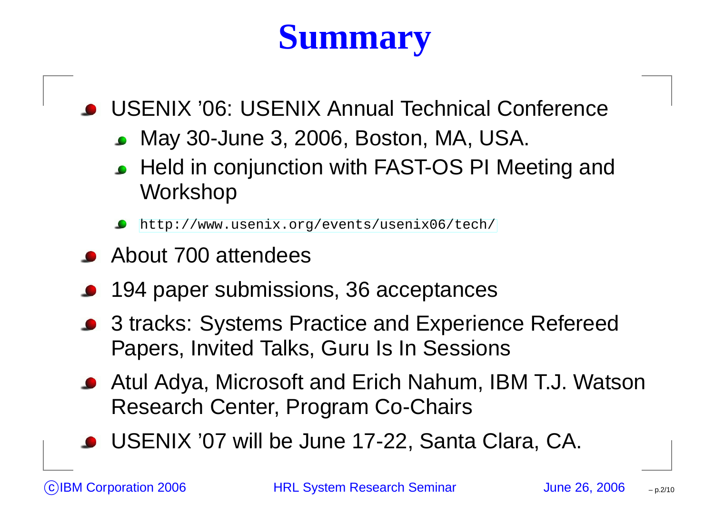# **Summary**

USENIX '06: USENIX Annual Technical Conference

- May 30-June 3, 2006, Boston, MA, USA.
- Held in conjunction with FAST-OS PI Meeting and Workshop

[http://www](http://www.usenix.org/events/usenix06/tech/).[usenix](http://www.usenix.org/events/usenix06/tech/).[org/events/usenix06/t](http://www.usenix.org/events/usenix06/tech/)ech/

- About 700 attendees
- 194 paper submissions, 36 acceptances
- 3 tracks: Systems Practice and Experience Refereed Papers, Invited Talks, Guru Is In Sessions
- Atul Adya, Microsoft and Erich Nahum, IBM T.J. Watson Research Center, Program Co-Chairs
- USENIX '07 will be June 17-22, Santa Clara, CA.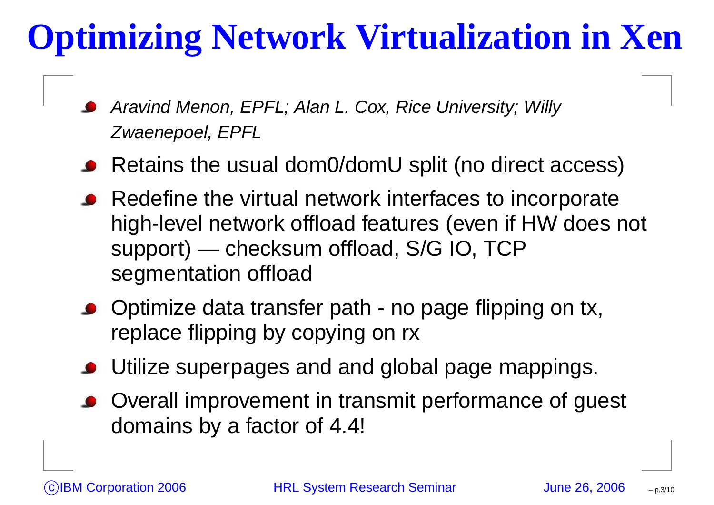#### **Optimizing Network Virtualization in Xen**

- Aravind Menon, EPFL; Alan L. Cox, Rice University; Willy Zwaenepoel, EPFL
- Retains the usual dom0/domU split (no direct access)
- Redefine the virtual network interfaces to incorporate high-level network offload features (even if HW does not support) — checksum offload, S/G IO, TCP segmentation offload
- Optimize data transfer path no page flipping on tx, replace flipping by copying on rx
- Utilize superpages and and global page mappings.
- Overall improvement in transmit performance of guest domains by <sup>a</sup> factor of 4.4!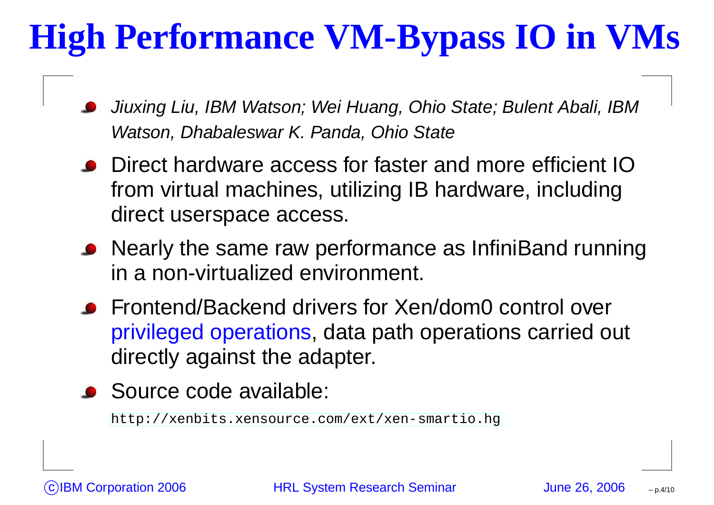# **High Performance VM-Bypass IO in VMs**

- Jiuxing Liu, IBM Watson; Wei Huang, Ohio State; Bulent Abali, IBM Watson, Dhabaleswar K. Panda, Ohio State
- Direct hardware access for faster and more efficient IOfrom virtual machines, utilizing IB hardware, including direct userspace access.
- Nearly the same raw performance as InfiniBand running in a non-virtualized environment.
- Frontend/Backend drivers for Xen/dom0 control over privileged operations, data path operations carried out directly against the adapter.
- Source code available:

[http://xenbits](http://xenbits.xensource.com/ext/xen-smartio.hg).[xensource](http://xenbits.xensource.com/ext/xen-smartio.hg).[com/ext/xen](http://xenbits.xensource.com/ext/xen-smartio.hg)-[smarti](http://xenbits.xensource.com/ext/xen-smartio.hg)o.hg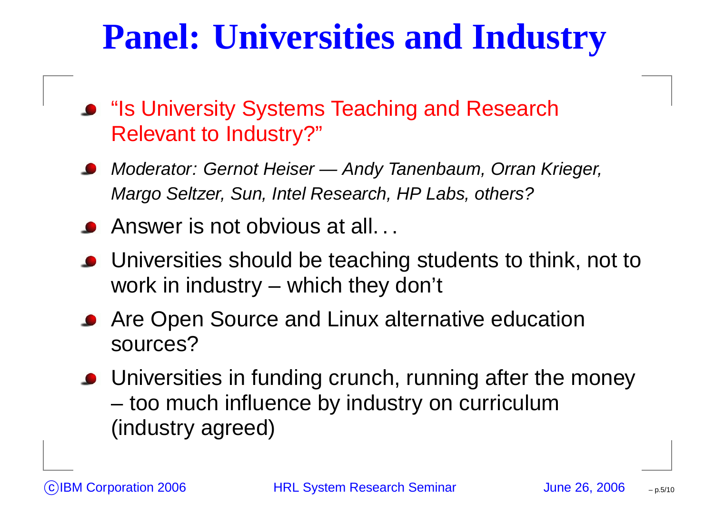#### **Panel: Universities and Industry**

- "Is University Systems Teaching and Research Relevant to Industry?"
- Moderator: Gernot Heiser Andy Tanenbaum, Orran Krieger, Margo Seltzer, Sun, Intel Research, HP Labs, others?
- Answer is not obvious at all. . .
- Universities should be teaching students to think, not to work in industry – which they don't
- Are Open Source and Linux alternative education sources?
- Universities in funding crunch, running after the money too much influence by industry on curriculum (industry agreed)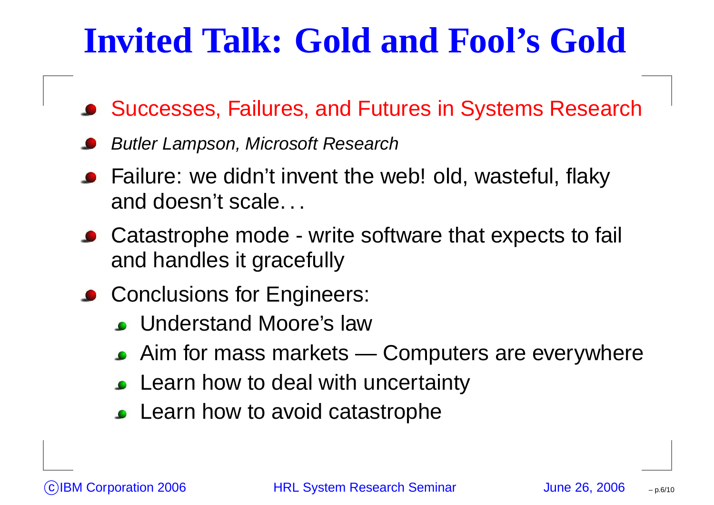#### **Invited Talk: Gold and Fool's Gold**

- Successes, Failures, and Futures in Systems Research
- Butler Lampson, Microsoft Research
- Failure: we didn't invent the web! old, wasteful, flaky and doesn't scale. . .
- Catastrophe mode write software that expects to fail and handles it gracefully
- Conclusions for Engineers:
	- Understand Moore's law
	- Aim for mass markets Computers are everywhere
	- Learn how to deal with uncertainty
	- Learn how to avoid catastrophe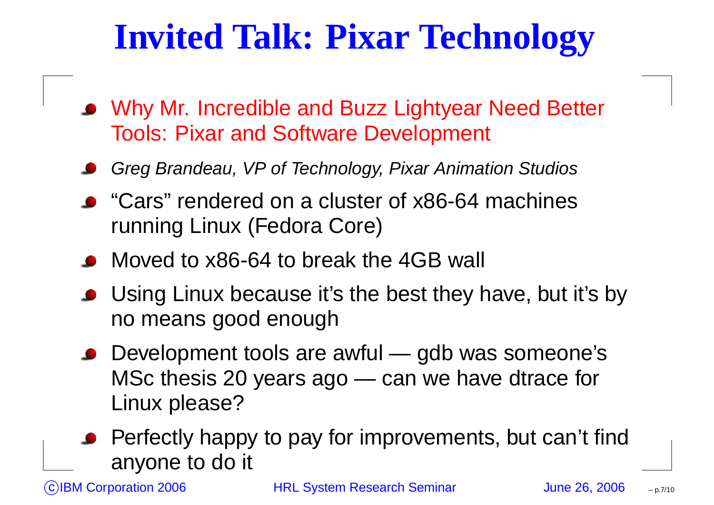## **Invited Talk: Pixar Technology**

- Why Mr. Incredible and Buzz Lightyear Need Better Tools: Pixar and Software Development
- Greg Brandeau, VP of Technology, Pixar Animation Studios
- "Cars" rendered on a cluster of x86-64 machines running Linux (Fedora Core)
- Moved to x86-64 to break the 4GB wall
- Using Linux because it's the best they have, but it's by no means good enough
- Development tools are awful gdb was someone's MSc thesis 20 years ago — can we have dtrace for Linux please?
- Perfectly happy to pay for improvements, but can't find anyone to do it

IBM Corporation 2006 **HRL System Research Seminar** June 26, 2006

– p.7/10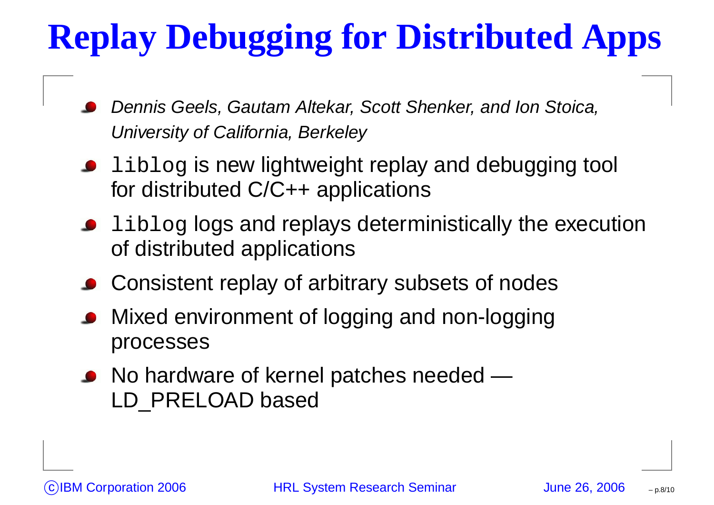# **Replay Debugging for Distributed Apps**

- Dennis Geels, Gautam Altekar, Scott Shenker, and Ion Stoica, University of California, Berkeley
- **I** liblog is new lightweight replay and debugging tool for distributed C/C++ applications
- **ILIMUM** 1 iblog logs and replays deterministically the execution of distributed applications
- Consistent replay of arbitrary subsets of nodes
- Mixed environment of logging and non-logging processes
- No hardware of kernel patches needed LD PRELOAD based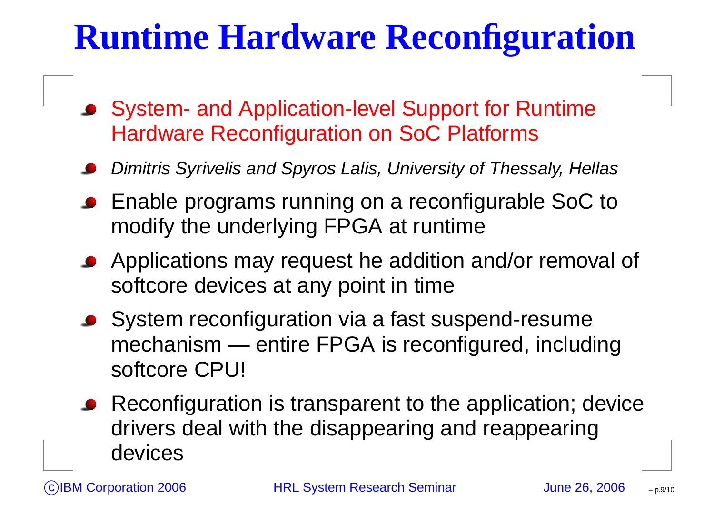#### **Runtime Hardware Reconfiguration**

- System- and Application-level Support for Runtime Hardware Reconfiguration on SoC Platforms
- Dimitris Syrivelis and Spyros Lalis, University of Thessaly, Hellas
- Enable programs running on <sup>a</sup> reconfigurable SoC to modify the underlying FPGA at runtime
- Applications may request he addition and/or removal of softcore devices at any point in time
- System reconfiguration via <sup>a</sup> fast suspend-resume mechanism — entire FPGA is reconfigured, including softcore CPU!
- Reconfiguration is transparent to the application; device drivers deal with the disappearing and reappearing devices